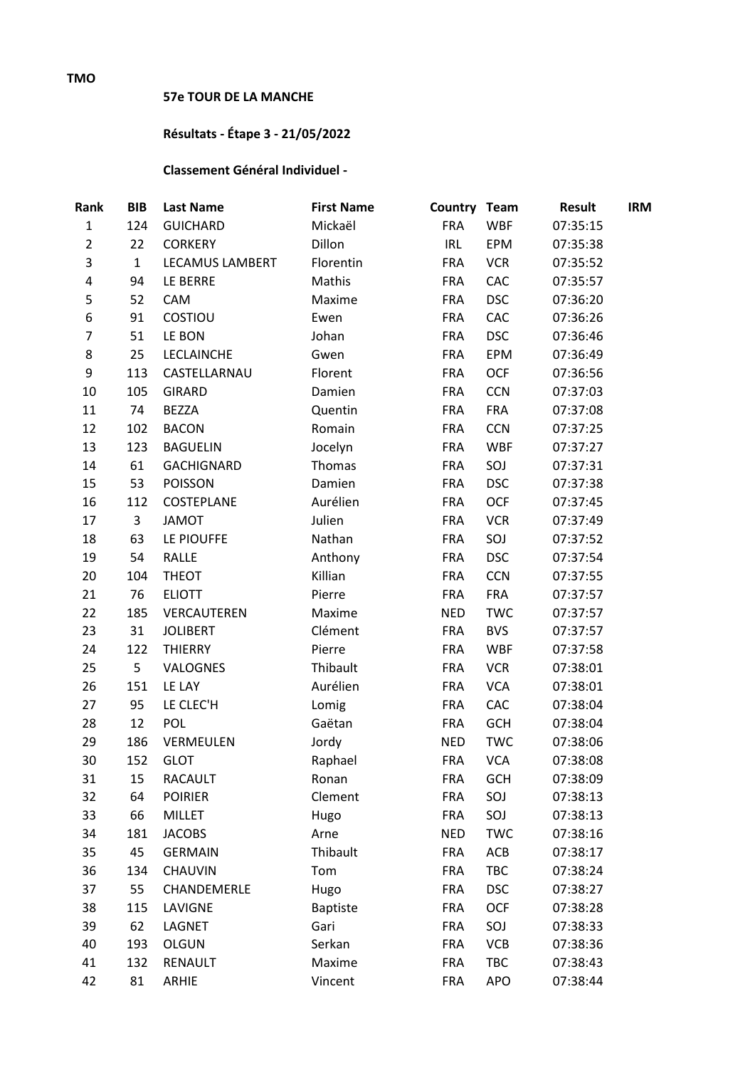## **57e TOUR DE LA MANCHE**

## **Résultats - Étape 3 - 21/05/2022**

## **Classement Général Individuel -**

| Rank           | <b>BIB</b>   | <b>Last Name</b>       | <b>First Name</b> | Country    | Team       | <b>Result</b> | <b>IRM</b> |
|----------------|--------------|------------------------|-------------------|------------|------------|---------------|------------|
| $\mathbf{1}$   | 124          | <b>GUICHARD</b>        | Mickaël           | <b>FRA</b> | <b>WBF</b> | 07:35:15      |            |
| $\overline{2}$ | 22           | <b>CORKERY</b>         | Dillon            | <b>IRL</b> | EPM        | 07:35:38      |            |
| 3              | $\mathbf{1}$ | <b>LECAMUS LAMBERT</b> | Florentin         | <b>FRA</b> | <b>VCR</b> | 07:35:52      |            |
| 4              | 94           | LE BERRE               | Mathis            | <b>FRA</b> | CAC        | 07:35:57      |            |
| 5              | 52           | CAM                    | Maxime            | <b>FRA</b> | <b>DSC</b> | 07:36:20      |            |
| 6              | 91           | COSTIOU                | Ewen              | <b>FRA</b> | CAC        | 07:36:26      |            |
| $\overline{7}$ | 51           | LE BON                 | Johan             | <b>FRA</b> | <b>DSC</b> | 07:36:46      |            |
| 8              | 25           | LECLAINCHE             | Gwen              | <b>FRA</b> | EPM        | 07:36:49      |            |
| 9              | 113          | CASTELLARNAU           | Florent           | <b>FRA</b> | <b>OCF</b> | 07:36:56      |            |
| 10             | 105          | <b>GIRARD</b>          | Damien            | <b>FRA</b> | <b>CCN</b> | 07:37:03      |            |
| 11             | 74           | <b>BEZZA</b>           | Quentin           | <b>FRA</b> | <b>FRA</b> | 07:37:08      |            |
| 12             | 102          | <b>BACON</b>           | Romain            | <b>FRA</b> | <b>CCN</b> | 07:37:25      |            |
| 13             | 123          | <b>BAGUELIN</b>        | Jocelyn           | <b>FRA</b> | <b>WBF</b> | 07:37:27      |            |
| 14             | 61           | <b>GACHIGNARD</b>      | Thomas            | <b>FRA</b> | SOJ        | 07:37:31      |            |
| 15             | 53           | POISSON                | Damien            | <b>FRA</b> | <b>DSC</b> | 07:37:38      |            |
| 16             | 112          | COSTEPLANE             | Aurélien          | <b>FRA</b> | <b>OCF</b> | 07:37:45      |            |
| 17             | 3            | <b>JAMOT</b>           | Julien            | <b>FRA</b> | <b>VCR</b> | 07:37:49      |            |
| 18             | 63           | LE PIOUFFE             | Nathan            | <b>FRA</b> | SOJ        | 07:37:52      |            |
| 19             | 54           | <b>RALLE</b>           | Anthony           | <b>FRA</b> | <b>DSC</b> | 07:37:54      |            |
| 20             | 104          | <b>THEOT</b>           | Killian           | <b>FRA</b> | <b>CCN</b> | 07:37:55      |            |
| 21             | 76           | <b>ELIOTT</b>          | Pierre            | <b>FRA</b> | <b>FRA</b> | 07:37:57      |            |
| 22             | 185          | VERCAUTEREN            | Maxime            | <b>NED</b> | <b>TWC</b> | 07:37:57      |            |
| 23             | 31           | <b>JOLIBERT</b>        | Clément           | <b>FRA</b> | <b>BVS</b> | 07:37:57      |            |
| 24             | 122          | <b>THIERRY</b>         | Pierre            | <b>FRA</b> | <b>WBF</b> | 07:37:58      |            |
| 25             | 5            | VALOGNES               | Thibault          | <b>FRA</b> | <b>VCR</b> | 07:38:01      |            |
| 26             | 151          | LE LAY                 | Aurélien          | <b>FRA</b> | <b>VCA</b> | 07:38:01      |            |
| 27             | 95           | LE CLEC'H              | Lomig             | <b>FRA</b> | CAC        | 07:38:04      |            |
| 28             | 12           | POL                    | Gaëtan            | <b>FRA</b> | <b>GCH</b> | 07:38:04      |            |
| 29             | 186          | VERMEULEN              | Jordy             | <b>NED</b> | <b>TWC</b> | 07:38:06      |            |
| 30             | 152          | <b>GLOT</b>            | Raphael           | <b>FRA</b> | <b>VCA</b> | 07:38:08      |            |
| 31             | 15           | RACAULT                | Ronan             | <b>FRA</b> | <b>GCH</b> | 07:38:09      |            |
| 32             | 64           | <b>POIRIER</b>         | Clement           | <b>FRA</b> | SOJ        | 07:38:13      |            |
| 33             | 66           | <b>MILLET</b>          | Hugo              | <b>FRA</b> | SOJ        | 07:38:13      |            |
| 34             | 181          | <b>JACOBS</b>          | Arne              | <b>NED</b> | <b>TWC</b> | 07:38:16      |            |
| 35             | 45           | <b>GERMAIN</b>         | Thibault          | <b>FRA</b> | ACB        | 07:38:17      |            |
| 36             | 134          | <b>CHAUVIN</b>         | Tom               | <b>FRA</b> | TBC        | 07:38:24      |            |
| 37             | 55           | CHANDEMERLE            | Hugo              | <b>FRA</b> | <b>DSC</b> | 07:38:27      |            |
| 38             | 115          | LAVIGNE                | <b>Baptiste</b>   | <b>FRA</b> | <b>OCF</b> | 07:38:28      |            |
| 39             | 62           | LAGNET                 | Gari              | <b>FRA</b> | SOJ        | 07:38:33      |            |
| 40             | 193          | <b>OLGUN</b>           | Serkan            | <b>FRA</b> | VCB        | 07:38:36      |            |
| 41             | 132          | RENAULT                | Maxime            | <b>FRA</b> | TBC        | 07:38:43      |            |
| 42             | 81           | ARHIE                  | Vincent           | <b>FRA</b> | <b>APO</b> | 07:38:44      |            |

**TMO**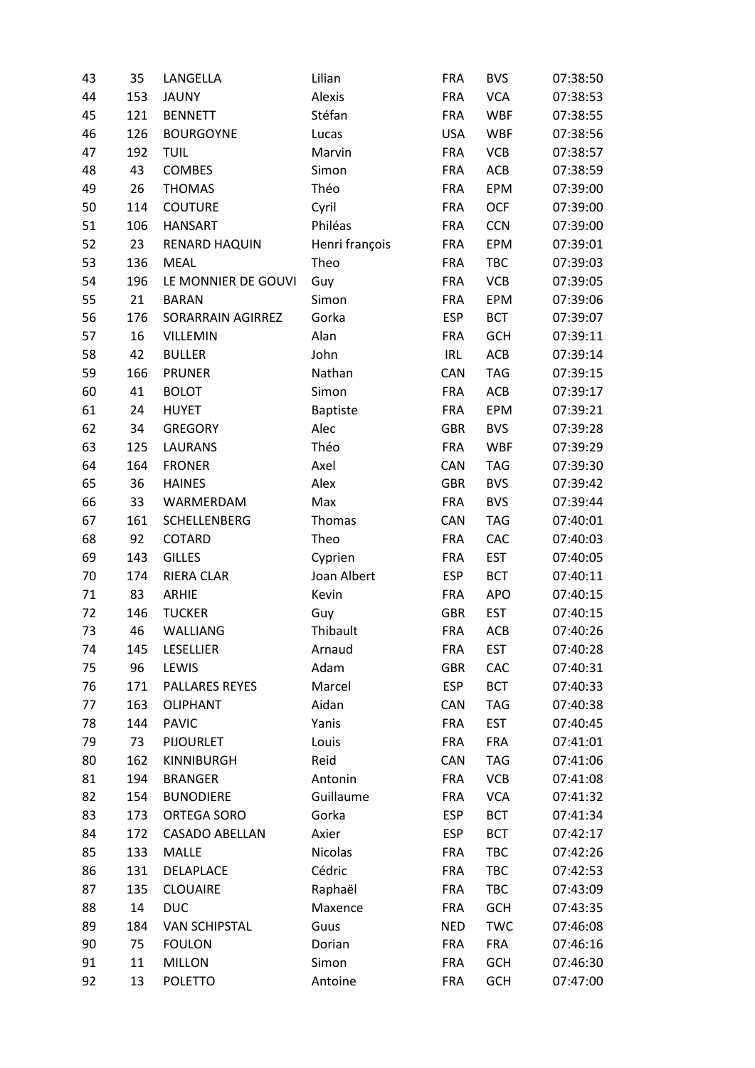| 43 | 35  | LANGELLA              | Lilian          | <b>FRA</b> | <b>BVS</b> | 07:38:50 |
|----|-----|-----------------------|-----------------|------------|------------|----------|
| 44 | 153 | <b>JAUNY</b>          | Alexis          | <b>FRA</b> | <b>VCA</b> | 07:38:53 |
| 45 | 121 | <b>BENNETT</b>        | Stéfan          | <b>FRA</b> | <b>WBF</b> | 07:38:55 |
| 46 | 126 | <b>BOURGOYNE</b>      | Lucas           | <b>USA</b> | <b>WBF</b> | 07:38:56 |
| 47 | 192 | <b>TUIL</b>           | Marvin          | <b>FRA</b> | VCB        | 07:38:57 |
| 48 | 43  | <b>COMBES</b>         | Simon           | <b>FRA</b> | ACB        | 07:38:59 |
| 49 | 26  | <b>THOMAS</b>         | Théo            | <b>FRA</b> | EPM        | 07:39:00 |
| 50 | 114 | <b>COUTURE</b>        | Cyril           | <b>FRA</b> | <b>OCF</b> | 07:39:00 |
| 51 | 106 | <b>HANSART</b>        | Philéas         | <b>FRA</b> | <b>CCN</b> | 07:39:00 |
| 52 | 23  | RENARD HAQUIN         | Henri françois  | <b>FRA</b> | EPM        | 07:39:01 |
| 53 | 136 | <b>MEAL</b>           | Theo            | <b>FRA</b> | TBC        | 07:39:03 |
| 54 | 196 | LE MONNIER DE GOUVI   | Guy             | <b>FRA</b> | VCB        | 07:39:05 |
| 55 | 21  | <b>BARAN</b>          | Simon           | <b>FRA</b> | EPM        | 07:39:06 |
| 56 | 176 | SORARRAIN AGIRREZ     | Gorka           | <b>ESP</b> | <b>BCT</b> | 07:39:07 |
| 57 | 16  | <b>VILLEMIN</b>       | Alan            | <b>FRA</b> | <b>GCH</b> | 07:39:11 |
| 58 | 42  | <b>BULLER</b>         | John            | <b>IRL</b> | ACB        | 07:39:14 |
| 59 | 166 | <b>PRUNER</b>         | Nathan          | CAN        | <b>TAG</b> | 07:39:15 |
| 60 | 41  | <b>BOLOT</b>          | Simon           | <b>FRA</b> | ACB        | 07:39:17 |
| 61 | 24  | <b>HUYET</b>          | <b>Baptiste</b> | <b>FRA</b> | EPM        | 07:39:21 |
| 62 | 34  | <b>GREGORY</b>        | Alec            | <b>GBR</b> | <b>BVS</b> | 07:39:28 |
| 63 | 125 | LAURANS               | Théo            | <b>FRA</b> | <b>WBF</b> | 07:39:29 |
| 64 | 164 | <b>FRONER</b>         | Axel            | CAN        | <b>TAG</b> | 07:39:30 |
| 65 | 36  | <b>HAINES</b>         | Alex            | <b>GBR</b> | <b>BVS</b> | 07:39:42 |
| 66 | 33  | WARMERDAM             | Max             | <b>FRA</b> | <b>BVS</b> | 07:39:44 |
| 67 | 161 | <b>SCHELLENBERG</b>   | <b>Thomas</b>   | CAN        | <b>TAG</b> | 07:40:01 |
| 68 | 92  | COTARD                | Theo            | <b>FRA</b> | CAC        | 07:40:03 |
| 69 | 143 | <b>GILLES</b>         | Cyprien         | <b>FRA</b> | <b>EST</b> | 07:40:05 |
| 70 | 174 | RIERA CLAR            | Joan Albert     | <b>ESP</b> | <b>BCT</b> | 07:40:11 |
| 71 | 83  | <b>ARHIE</b>          | Kevin           | <b>FRA</b> | <b>APO</b> | 07:40:15 |
| 72 | 146 | <b>TUCKER</b>         | Guy             | <b>GBR</b> | <b>EST</b> | 07:40:15 |
| 73 | 46  | <b>WALLIANG</b>       | Thibault        | <b>FRA</b> | ACB        | 07:40:26 |
| 74 | 145 | <b>LESELLIER</b>      | Arnaud          | <b>FRA</b> | <b>EST</b> | 07:40:28 |
| 75 | 96  | LEWIS                 | Adam            | <b>GBR</b> | CAC        | 07:40:31 |
| 76 | 171 | <b>PALLARES REYES</b> | Marcel          | <b>ESP</b> | <b>BCT</b> | 07:40:33 |
| 77 | 163 | <b>OLIPHANT</b>       | Aidan           | CAN        | <b>TAG</b> | 07:40:38 |
| 78 | 144 | <b>PAVIC</b>          | Yanis           | <b>FRA</b> | <b>EST</b> | 07:40:45 |
| 79 | 73  | <b>PIJOURLET</b>      | Louis           | <b>FRA</b> | <b>FRA</b> | 07:41:01 |
| 80 | 162 | KINNIBURGH            | Reid            | CAN        | <b>TAG</b> | 07:41:06 |
| 81 | 194 | <b>BRANGER</b>        | Antonin         | <b>FRA</b> | <b>VCB</b> | 07:41:08 |
| 82 | 154 | <b>BUNODIERE</b>      | Guillaume       | <b>FRA</b> | <b>VCA</b> | 07:41:32 |
| 83 | 173 | ORTEGA SORO           | Gorka           | <b>ESP</b> | <b>BCT</b> | 07:41:34 |
| 84 | 172 | <b>CASADO ABELLAN</b> | Axier           | <b>ESP</b> | <b>BCT</b> | 07:42:17 |
| 85 | 133 | <b>MALLE</b>          | Nicolas         | <b>FRA</b> | TBC        | 07:42:26 |
| 86 | 131 | DELAPLACE             | Cédric          | <b>FRA</b> | TBC        | 07:42:53 |
| 87 | 135 | <b>CLOUAIRE</b>       | Raphaël         | <b>FRA</b> | TBC        | 07:43:09 |
| 88 | 14  | <b>DUC</b>            | Maxence         | <b>FRA</b> | <b>GCH</b> | 07:43:35 |
| 89 | 184 | <b>VAN SCHIPSTAL</b>  | Guus            | <b>NED</b> | <b>TWC</b> | 07:46:08 |
| 90 | 75  | <b>FOULON</b>         | Dorian          | <b>FRA</b> | <b>FRA</b> | 07:46:16 |
| 91 | 11  | <b>MILLON</b>         | Simon           | <b>FRA</b> | <b>GCH</b> | 07:46:30 |
| 92 | 13  | <b>POLETTO</b>        | Antoine         | <b>FRA</b> | <b>GCH</b> | 07:47:00 |
|    |     |                       |                 |            |            |          |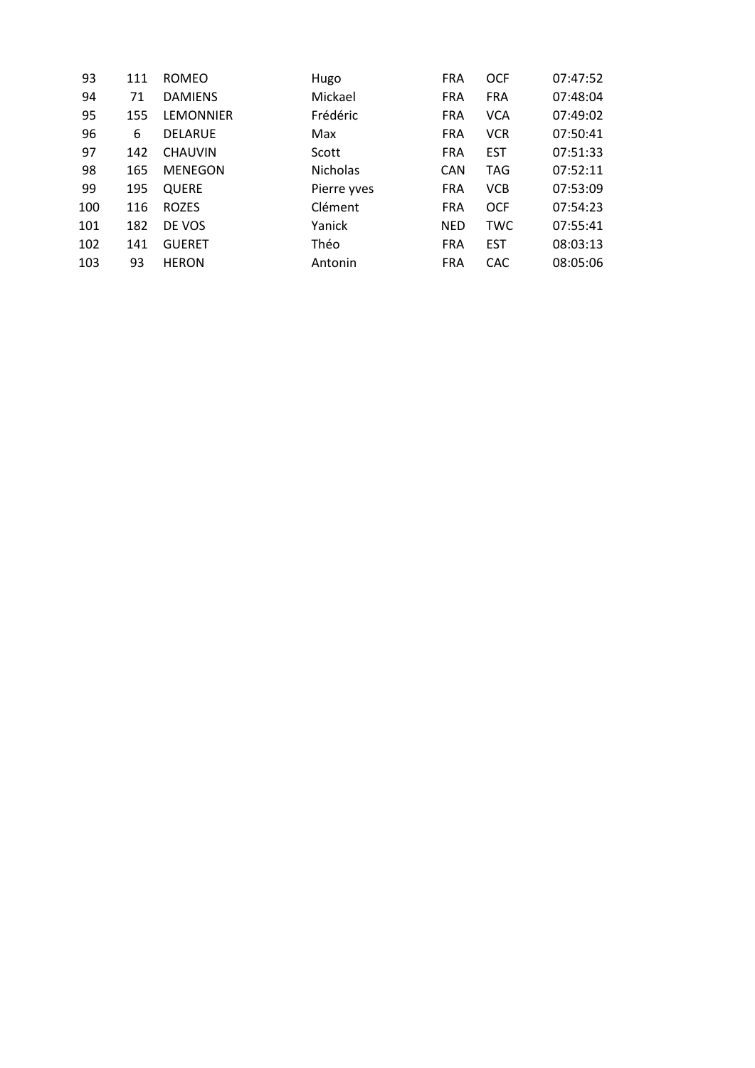| 93  | 111 | <b>ROMEO</b>     | Hugo            | <b>FRA</b> | <b>OCF</b> | 07:47:52 |
|-----|-----|------------------|-----------------|------------|------------|----------|
| 94  | 71  | <b>DAMIENS</b>   | Mickael         | <b>FRA</b> | <b>FRA</b> | 07:48:04 |
| 95  | 155 | <b>LEMONNIER</b> | Frédéric        | <b>FRA</b> | <b>VCA</b> | 07:49:02 |
| 96  | 6   | <b>DELARUE</b>   | Max             | <b>FRA</b> | <b>VCR</b> | 07:50:41 |
| 97  | 142 | <b>CHAUVIN</b>   | Scott           | <b>FRA</b> | <b>EST</b> | 07:51:33 |
| 98  | 165 | <b>MENEGON</b>   | <b>Nicholas</b> | <b>CAN</b> | <b>TAG</b> | 07:52:11 |
| 99  | 195 | <b>QUERE</b>     | Pierre yves     | <b>FRA</b> | <b>VCB</b> | 07:53:09 |
| 100 | 116 | <b>ROZES</b>     | Clément         | <b>FRA</b> | <b>OCF</b> | 07:54:23 |
| 101 | 182 | DE VOS           | Yanick          | <b>NED</b> | <b>TWC</b> | 07:55:41 |
| 102 | 141 | <b>GUERET</b>    | Théo            | <b>FRA</b> | <b>EST</b> | 08:03:13 |
| 103 | 93  | <b>HERON</b>     | Antonin         | <b>FRA</b> | <b>CAC</b> | 08:05:06 |
|     |     |                  |                 |            |            |          |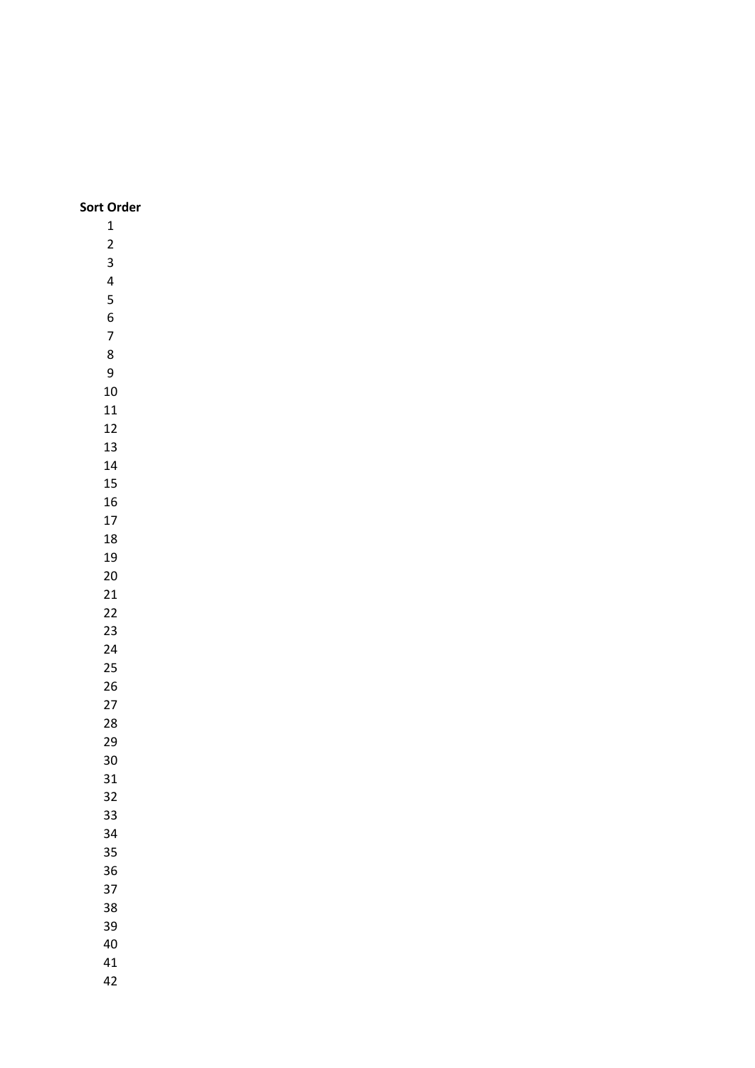## **Sort Order**

| $\overline{c}$ |  |
|----------------|--|
| 3              |  |
| 4              |  |
| 5              |  |
| 6              |  |
| 7              |  |
| 8              |  |
| 9              |  |
| 10             |  |
| 11             |  |
| 12             |  |
| 13             |  |
| 14             |  |
| 15             |  |
| 16             |  |
| 17             |  |
| 18             |  |
| 19             |  |
| 20             |  |
| 21             |  |
| 22             |  |
| 23             |  |
| 24             |  |
| 25             |  |
| 26             |  |
| 27             |  |
| 28<br>29       |  |
| 30             |  |
| 31             |  |
| 32             |  |
| 33             |  |
| 34             |  |
| 35             |  |
| 36             |  |
| 37             |  |
| 38             |  |
|                |  |
| 39             |  |
| 40             |  |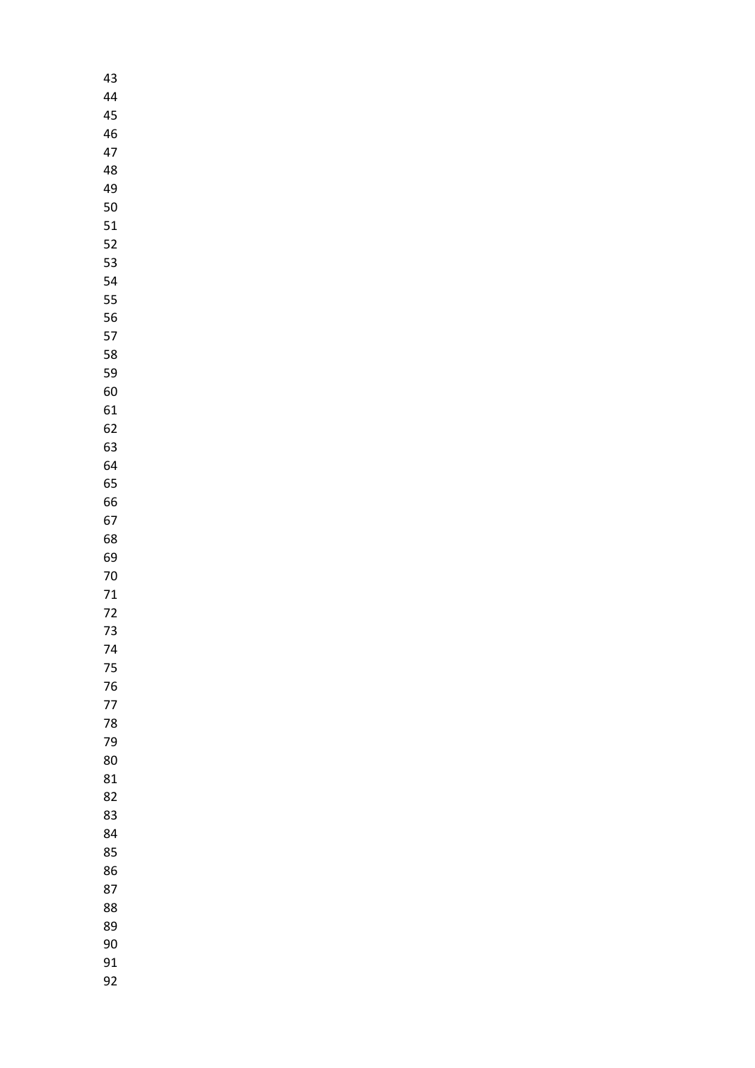| 43 |
|----|
| 44 |
| 45 |
| 46 |
| 47 |
| 48 |
| 49 |
| 50 |
| 51 |
| 52 |
| 53 |
| 54 |
| 55 |
| 56 |
| 57 |
| 58 |
| 59 |
| 60 |
| 61 |
| 62 |
| 63 |
| 64 |
| 65 |
| 66 |
| 67 |
| 68 |
| 69 |
| 70 |
| 71 |
| 72 |
| 73 |
| 74 |
| 75 |
| 76 |
| 77 |
| 78 |
| 79 |
| 80 |
| 81 |
| 82 |
| 83 |
| 84 |
| 85 |
| 86 |
| 87 |
| 88 |
| 89 |
| 90 |
| 91 |
| 92 |